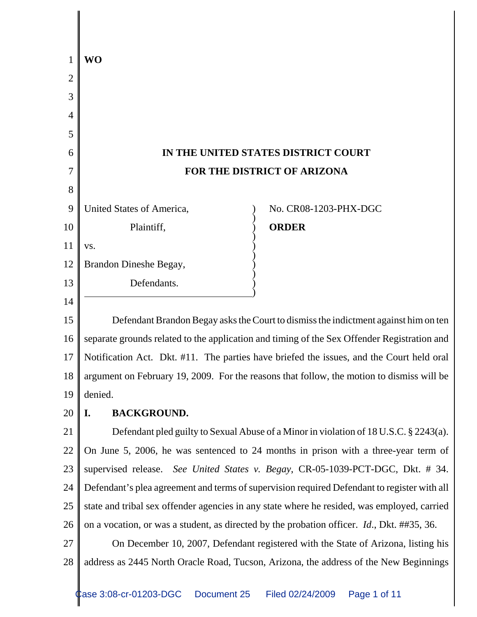| 1  | WO                                                                                                 |  |
|----|----------------------------------------------------------------------------------------------------|--|
| 2  |                                                                                                    |  |
| 3  |                                                                                                    |  |
| 4  |                                                                                                    |  |
| 5  |                                                                                                    |  |
| 6  | IN THE UNITED STATES DISTRICT COURT                                                                |  |
| 7  | FOR THE DISTRICT OF ARIZONA                                                                        |  |
| 8  |                                                                                                    |  |
| 9  | United States of America,<br>No. CR08-1203-PHX-DGC                                                 |  |
| 10 | <b>ORDER</b><br>Plaintiff,                                                                         |  |
| 11 | VS.                                                                                                |  |
| 12 | Brandon Dineshe Begay,                                                                             |  |
| 13 | Defendants.                                                                                        |  |
| 14 |                                                                                                    |  |
| 15 | Defendant Brandon Begay asks the Court to dismiss the indictment against him on ten                |  |
| 16 | separate grounds related to the application and timing of the Sex Offender Registration and        |  |
| 17 | Notification Act. Dkt. #11. The parties have briefed the issues, and the Court held oral           |  |
| 18 | argument on February 19, 2009. For the reasons that follow, the motion to dismiss will be          |  |
| 19 | denied.                                                                                            |  |
| 20 | <b>BACKGROUND.</b><br>I.                                                                           |  |
| 21 | Defendant pled guilty to Sexual Abuse of a Minor in violation of 18 U.S.C. § 2243(a).              |  |
| 22 | On June 5, 2006, he was sentenced to 24 months in prison with a three-year term of                 |  |
| 23 | supervised release. See United States v. Begay, CR-05-1039-PCT-DGC, Dkt. # 34.                     |  |
| 24 | Defendant's plea agreement and terms of supervision required Defendant to register with all        |  |
| 25 | state and tribal sex offender agencies in any state where he resided, was employed, carried        |  |
| 26 | on a vocation, or was a student, as directed by the probation officer. <i>Id.</i> , Dkt. ##35, 36. |  |
| 27 | On December 10, 2007, Defendant registered with the State of Arizona, listing his                  |  |
| 28 | address as 2445 North Oracle Road, Tucson, Arizona, the address of the New Beginnings              |  |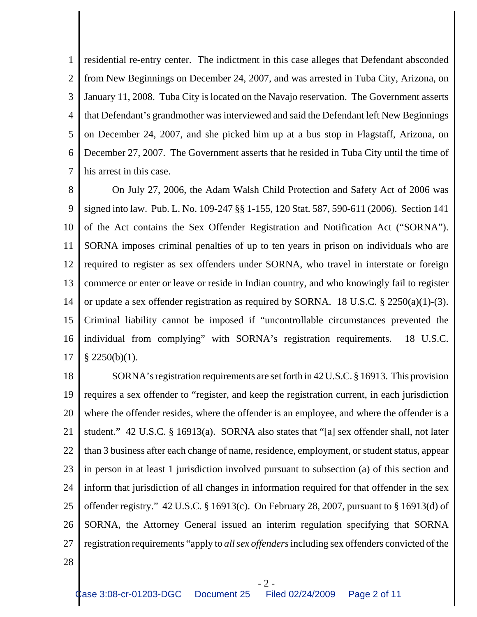1 2 3 4 5 6 7 residential re-entry center. The indictment in this case alleges that Defendant absconded from New Beginnings on December 24, 2007, and was arrested in Tuba City, Arizona, on January 11, 2008. Tuba City is located on the Navajo reservation. The Government asserts that Defendant's grandmother was interviewed and said the Defendant left New Beginnings on December 24, 2007, and she picked him up at a bus stop in Flagstaff, Arizona, on December 27, 2007. The Government asserts that he resided in Tuba City until the time of his arrest in this case.

8 9 10 11 12 13 14 15 16 17 On July 27, 2006, the Adam Walsh Child Protection and Safety Act of 2006 was signed into law. Pub. L. No. 109-247 §§ 1-155, 120 Stat. 587, 590-611 (2006). Section 141 of the Act contains the Sex Offender Registration and Notification Act ("SORNA"). SORNA imposes criminal penalties of up to ten years in prison on individuals who are required to register as sex offenders under SORNA, who travel in interstate or foreign commerce or enter or leave or reside in Indian country, and who knowingly fail to register or update a sex offender registration as required by SORNA. 18 U.S.C. § 2250(a)(1)-(3). Criminal liability cannot be imposed if "uncontrollable circumstances prevented the individual from complying" with SORNA's registration requirements. 18 U.S.C.  $§$  2250(b)(1).

18 19 20 21 22 23 24 25 26 27 SORNA's registration requirements are set forth in 42 U.S.C. § 16913. This provision requires a sex offender to "register, and keep the registration current, in each jurisdiction where the offender resides, where the offender is an employee, and where the offender is a student." 42 U.S.C. § 16913(a). SORNA also states that "[a] sex offender shall, not later than 3 business after each change of name, residence, employment, or student status, appear in person in at least 1 jurisdiction involved pursuant to subsection (a) of this section and inform that jurisdiction of all changes in information required for that offender in the sex offender registry." 42 U.S.C. § 16913(c). On February 28, 2007, pursuant to § 16913(d) of SORNA, the Attorney General issued an interim regulation specifying that SORNA registration requirements "apply to *all sex offenders* including sex offenders convicted of the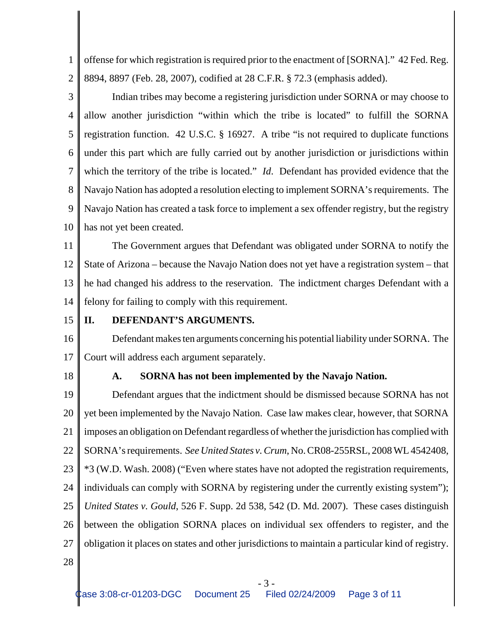1 2 offense for which registration is required prior to the enactment of [SORNA]." 42 Fed. Reg. 8894, 8897 (Feb. 28, 2007), codified at 28 C.F.R. § 72.3 (emphasis added).

3 4 5 6 7 8 9 10 Indian tribes may become a registering jurisdiction under SORNA or may choose to allow another jurisdiction "within which the tribe is located" to fulfill the SORNA registration function. 42 U.S.C. § 16927. A tribe "is not required to duplicate functions under this part which are fully carried out by another jurisdiction or jurisdictions within which the territory of the tribe is located." *Id*. Defendant has provided evidence that the Navajo Nation has adopted a resolution electing to implement SORNA's requirements. The Navajo Nation has created a task force to implement a sex offender registry, but the registry has not yet been created.

11 12 13 14 The Government argues that Defendant was obligated under SORNA to notify the State of Arizona – because the Navajo Nation does not yet have a registration system – that he had changed his address to the reservation. The indictment charges Defendant with a felony for failing to comply with this requirement.

#### 15 **II. DEFENDANT'S ARGUMENTS.**

16 17 Defendant makes ten arguments concerning his potential liability under SORNA. The Court will address each argument separately.

18

# **A. SORNA has not been implemented by the Navajo Nation.**

19 20 21 22 23 24 25 26 27 Defendant argues that the indictment should be dismissed because SORNA has not yet been implemented by the Navajo Nation. Case law makes clear, however, that SORNA imposes an obligation on Defendant regardless of whether the jurisdiction has complied with SORNA's requirements. *See United States v. Crum*, No. CR08-255RSL, 2008 WL 4542408, \*3 (W.D. Wash. 2008) ("Even where states have not adopted the registration requirements, individuals can comply with SORNA by registering under the currently existing system"); *United States v. Gould*, 526 F. Supp. 2d 538, 542 (D. Md. 2007). These cases distinguish between the obligation SORNA places on individual sex offenders to register, and the obligation it places on states and other jurisdictions to maintain a particular kind of registry.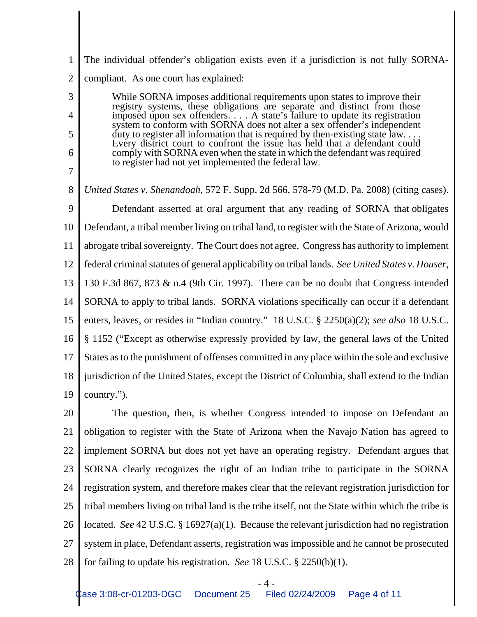1 2 The individual offender's obligation exists even if a jurisdiction is not fully SORNAcompliant. As one court has explained:

3

4

5

6

7

While SORNA imposes additional requirements upon states to improve their registry systems, these obligations are separate and distinct from those imposed upon sex offenders. . . . A state's failure to update its registration system to conform with SORNA does not alter a sex offender's independent duty to register all information that is required by then-existing state law. . . . Every district court to confront the issue has held that a defendant could comply with SORNA even when the state in which the defendant was required to register had not yet implemented the federal law.

8 9 10 11 12 13 14 15 16 17 18 19 *United States v. Shenandoah*, 572 F. Supp. 2d 566, 578-79 (M.D. Pa. 2008) (citing cases). Defendant asserted at oral argument that any reading of SORNA that obligates Defendant, a tribal member living on tribal land, to register with the State of Arizona, would abrogate tribal sovereignty. The Court does not agree. Congress has authority to implement federal criminal statutes of general applicability on tribal lands. *See United States v. Houser*, 130 F.3d 867, 873 & n.4 (9th Cir. 1997). There can be no doubt that Congress intended SORNA to apply to tribal lands. SORNA violations specifically can occur if a defendant enters, leaves, or resides in "Indian country." 18 U.S.C. § 2250(a)(2); *see also* 18 U.S.C. § 1152 ("Except as otherwise expressly provided by law, the general laws of the United States as to the punishment of offenses committed in any place within the sole and exclusive jurisdiction of the United States, except the District of Columbia, shall extend to the Indian country.").

20 21 22 23 24 25 26 27 28 The question, then, is whether Congress intended to impose on Defendant an obligation to register with the State of Arizona when the Navajo Nation has agreed to implement SORNA but does not yet have an operating registry. Defendant argues that SORNA clearly recognizes the right of an Indian tribe to participate in the SORNA registration system, and therefore makes clear that the relevant registration jurisdiction for tribal members living on tribal land is the tribe itself, not the State within which the tribe is located. *See* 42 U.S.C. § 16927(a)(1). Because the relevant jurisdiction had no registration system in place, Defendant asserts, registration was impossible and he cannot be prosecuted for failing to update his registration. *See* 18 U.S.C. § 2250(b)(1).

- 4 -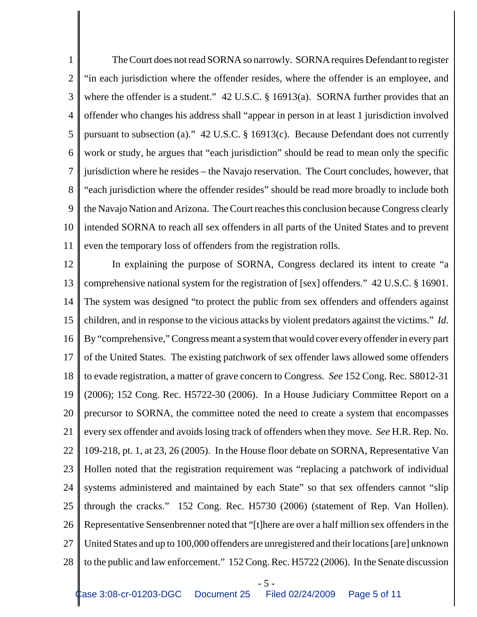1 2 3 4 5 6 7 8 9 10 11 The Court does not read SORNA so narrowly. SORNA requires Defendant to register "in each jurisdiction where the offender resides, where the offender is an employee, and where the offender is a student." 42 U.S.C. § 16913(a). SORNA further provides that an offender who changes his address shall "appear in person in at least 1 jurisdiction involved pursuant to subsection (a)." 42 U.S.C. § 16913(c). Because Defendant does not currently work or study, he argues that "each jurisdiction" should be read to mean only the specific jurisdiction where he resides – the Navajo reservation. The Court concludes, however, that "each jurisdiction where the offender resides" should be read more broadly to include both the Navajo Nation and Arizona. The Court reaches this conclusion because Congress clearly intended SORNA to reach all sex offenders in all parts of the United States and to prevent even the temporary loss of offenders from the registration rolls.

12 13 14 15 16 17 18 19 20 21 22 23 24 25 26 27 28 In explaining the purpose of SORNA, Congress declared its intent to create "a comprehensive national system for the registration of [sex] offenders." 42 U.S.C. § 16901. The system was designed "to protect the public from sex offenders and offenders against children, and in response to the vicious attacks by violent predators against the victims." *Id*. By "comprehensive," Congress meant a system that would cover every offender in every part of the United States. The existing patchwork of sex offender laws allowed some offenders to evade registration, a matter of grave concern to Congress. *See* 152 Cong. Rec. S8012-31 (2006); 152 Cong. Rec. H5722-30 (2006). In a House Judiciary Committee Report on a precursor to SORNA, the committee noted the need to create a system that encompasses every sex offender and avoids losing track of offenders when they move. *See* H.R. Rep. No. 109-218, pt. 1, at 23, 26 (2005). In the House floor debate on SORNA, Representative Van Hollen noted that the registration requirement was "replacing a patchwork of individual systems administered and maintained by each State" so that sex offenders cannot "slip through the cracks." 152 Cong. Rec. H5730 (2006) (statement of Rep. Van Hollen). Representative Sensenbrenner noted that "[t]here are over a half million sex offenders in the United States and up to 100,000 offenders are unregistered and their locations [are] unknown to the public and law enforcement." 152 Cong. Rec. H5722 (2006). In the Senate discussion

$$
-5 -
$$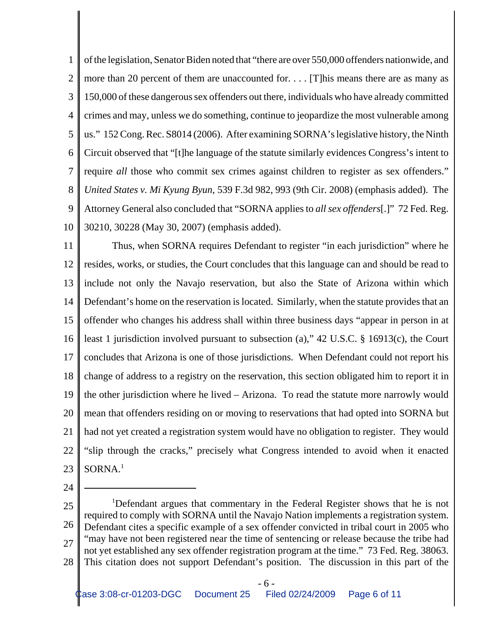1 2 3 4 5 6 7 8 9 10 of the legislation, Senator Biden noted that "there are over 550,000 offenders nationwide, and more than 20 percent of them are unaccounted for. . . . [T]his means there are as many as 150,000 of these dangerous sex offenders out there, individuals who have already committed crimes and may, unless we do something, continue to jeopardize the most vulnerable among us." 152 Cong. Rec. S8014 (2006). After examining SORNA's legislative history, the Ninth Circuit observed that "[t]he language of the statute similarly evidences Congress's intent to require *all* those who commit sex crimes against children to register as sex offenders." *United States v. Mi Kyung Byun*, 539 F.3d 982, 993 (9th Cir. 2008) (emphasis added). The Attorney General also concluded that "SORNA applies to *all sex offenders*[.]" 72 Fed. Reg. 30210, 30228 (May 30, 2007) (emphasis added).

11 12 13 14 15 16 17 18 19 20 21 22 23 Thus, when SORNA requires Defendant to register "in each jurisdiction" where he resides, works, or studies, the Court concludes that this language can and should be read to include not only the Navajo reservation, but also the State of Arizona within which Defendant's home on the reservation is located. Similarly, when the statute provides that an offender who changes his address shall within three business days "appear in person in at least 1 jurisdiction involved pursuant to subsection (a)," 42 U.S.C. § 16913(c), the Court concludes that Arizona is one of those jurisdictions. When Defendant could not report his change of address to a registry on the reservation, this section obligated him to report it in the other jurisdiction where he lived – Arizona. To read the statute more narrowly would mean that offenders residing on or moving to reservations that had opted into SORNA but had not yet created a registration system would have no obligation to register. They would "slip through the cracks," precisely what Congress intended to avoid when it enacted SORNA.1

<sup>25</sup> 26 27 28 <sup>1</sup>Defendant argues that commentary in the Federal Register shows that he is not required to comply with SORNA until the Navajo Nation implements a registration system. Defendant cites a specific example of a sex offender convicted in tribal court in 2005 who "may have not been registered near the time of sentencing or release because the tribe had not yet established any sex offender registration program at the time." 73 Fed. Reg. 38063. This citation does not support Defendant's position. The discussion in this part of the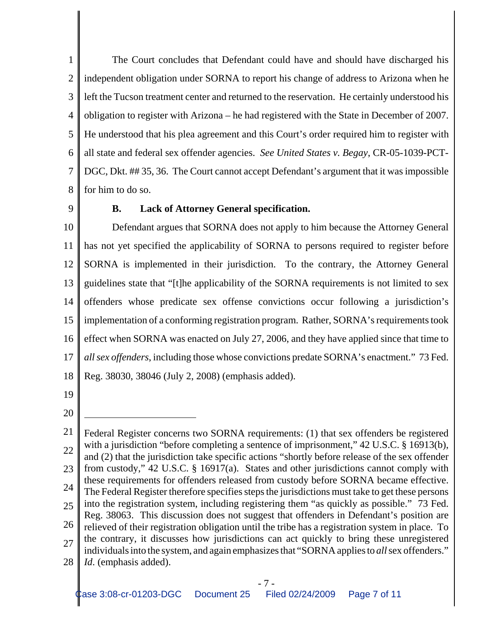1 2 3 4 5 6 7 8 The Court concludes that Defendant could have and should have discharged his independent obligation under SORNA to report his change of address to Arizona when he left the Tucson treatment center and returned to the reservation. He certainly understood his obligation to register with Arizona – he had registered with the State in December of 2007. He understood that his plea agreement and this Court's order required him to register with all state and federal sex offender agencies. *See United States v. Begay*, CR-05-1039-PCT-DGC, Dkt. ## 35, 36. The Court cannot accept Defendant's argument that it was impossible for him to do so.

9

## **B. Lack of Attorney General specification.**

10 11 12 13 14 15 16 17 18 Defendant argues that SORNA does not apply to him because the Attorney General has not yet specified the applicability of SORNA to persons required to register before SORNA is implemented in their jurisdiction. To the contrary, the Attorney General guidelines state that "[t]he applicability of the SORNA requirements is not limited to sex offenders whose predicate sex offense convictions occur following a jurisdiction's implementation of a conforming registration program. Rather, SORNA's requirements took effect when SORNA was enacted on July 27, 2006, and they have applied since that time to *all sex offenders*, including those whose convictions predate SORNA's enactment." 73 Fed. Reg. 38030, 38046 (July 2, 2008) (emphasis added).

19

<sup>21</sup> 22 23 24 25 26 27 28 Federal Register concerns two SORNA requirements: (1) that sex offenders be registered with a jurisdiction "before completing a sentence of imprisonment," 42 U.S.C. § 16913(b), and (2) that the jurisdiction take specific actions "shortly before release of the sex offender from custody," 42 U.S.C. § 16917(a). States and other jurisdictions cannot comply with these requirements for offenders released from custody before SORNA became effective. The Federal Register therefore specifies steps the jurisdictions must take to get these persons into the registration system, including registering them "as quickly as possible." 73 Fed. Reg. 38063. This discussion does not suggest that offenders in Defendant's position are relieved of their registration obligation until the tribe has a registration system in place. To the contrary, it discusses how jurisdictions can act quickly to bring these unregistered individuals into the system, and again emphasizes that "SORNA applies to *all* sex offenders." *Id*. (emphasis added).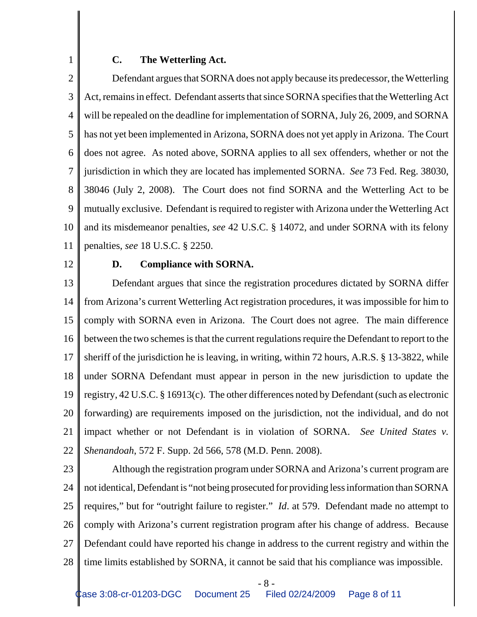### **C. The Wetterling Act.**

2 3 4 5 6 7 8 9 10 11 Defendant argues that SORNA does not apply because its predecessor, the Wetterling Act, remains in effect. Defendant asserts that since SORNA specifies that the Wetterling Act will be repealed on the deadline for implementation of SORNA, July 26, 2009, and SORNA has not yet been implemented in Arizona, SORNA does not yet apply in Arizona. The Court does not agree. As noted above, SORNA applies to all sex offenders, whether or not the jurisdiction in which they are located has implemented SORNA. *See* 73 Fed. Reg. 38030, 38046 (July 2, 2008). The Court does not find SORNA and the Wetterling Act to be mutually exclusive. Defendant is required to register with Arizona under the Wetterling Act and its misdemeanor penalties, *see* 42 U.S.C. § 14072, and under SORNA with its felony penalties, *see* 18 U.S.C. § 2250.

12

1

#### **D. Compliance with SORNA.**

13 14 15 16 17 18 19 20 21 22 Defendant argues that since the registration procedures dictated by SORNA differ from Arizona's current Wetterling Act registration procedures, it was impossible for him to comply with SORNA even in Arizona. The Court does not agree. The main difference between the two schemes is that the current regulations require the Defendant to report to the sheriff of the jurisdiction he is leaving, in writing, within 72 hours, A.R.S. § 13-3822, while under SORNA Defendant must appear in person in the new jurisdiction to update the registry, 42 U.S.C. § 16913(c). The other differences noted by Defendant (such as electronic forwarding) are requirements imposed on the jurisdiction, not the individual, and do not impact whether or not Defendant is in violation of SORNA. *See United States v. Shenandoah*, 572 F. Supp. 2d 566, 578 (M.D. Penn. 2008).

23

24 25 26 27 28 Although the registration program under SORNA and Arizona's current program are not identical, Defendant is "not being prosecuted for providing less information than SORNA requires," but for "outright failure to register." *Id*. at 579. Defendant made no attempt to comply with Arizona's current registration program after his change of address. Because Defendant could have reported his change in address to the current registry and within the time limits established by SORNA, it cannot be said that his compliance was impossible.

- 8 -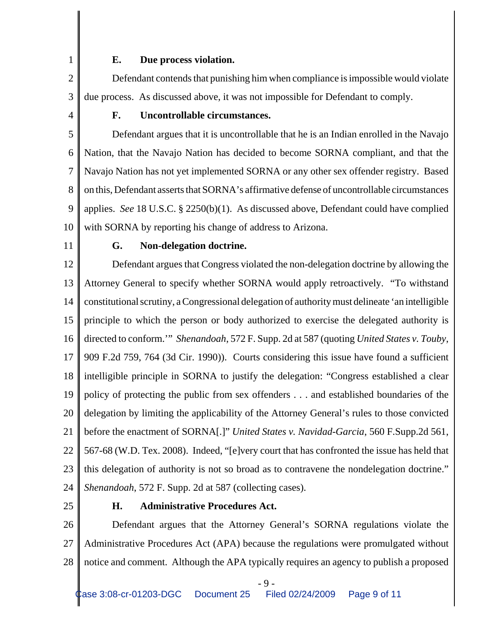#### **E. Due process violation.**

2 3 Defendant contends that punishing him when compliance is impossible would violate due process. As discussed above, it was not impossible for Defendant to comply.

4

1

## **F. Uncontrollable circumstances.**

5 6 7 8 9 10 Defendant argues that it is uncontrollable that he is an Indian enrolled in the Navajo Nation, that the Navajo Nation has decided to become SORNA compliant, and that the Navajo Nation has not yet implemented SORNA or any other sex offender registry. Based on this, Defendant asserts that SORNA's affirmative defense of uncontrollable circumstances applies. *See* 18 U.S.C. § 2250(b)(1). As discussed above, Defendant could have complied with SORNA by reporting his change of address to Arizona.

11

# **G. Non-delegation doctrine.**

12 13 14 15 16 17 18 19 20 21 22 23 24 Defendant argues that Congress violated the non-delegation doctrine by allowing the Attorney General to specify whether SORNA would apply retroactively. "To withstand constitutional scrutiny, a Congressional delegation of authority must delineate 'an intelligible principle to which the person or body authorized to exercise the delegated authority is directed to conform.'" *Shenandoah*, 572 F. Supp. 2d at 587 (quoting *United States v. Touby*, 909 F.2d 759, 764 (3d Cir. 1990)). Courts considering this issue have found a sufficient intelligible principle in SORNA to justify the delegation: "Congress established a clear policy of protecting the public from sex offenders . . . and established boundaries of the delegation by limiting the applicability of the Attorney General's rules to those convicted before the enactment of SORNA[.]" *United States v. Navidad-Garcia*, 560 F.Supp.2d 561, 567-68 (W.D. Tex. 2008). Indeed, "[e]very court that has confronted the issue has held that this delegation of authority is not so broad as to contravene the nondelegation doctrine." *Shenandoah*, 572 F. Supp. 2d at 587 (collecting cases).

25

## **H. Administrative Procedures Act.**

26 27 28 Defendant argues that the Attorney General's SORNA regulations violate the Administrative Procedures Act (APA) because the regulations were promulgated without notice and comment. Although the APA typically requires an agency to publish a proposed

- 9 -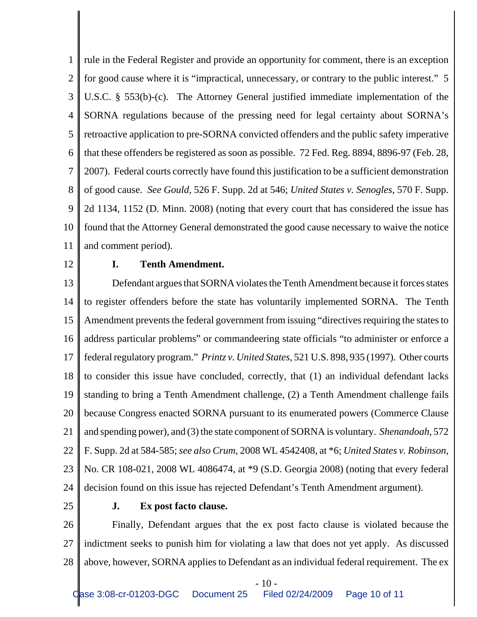1 2 3 4 5 6 7 8 9 10 11 rule in the Federal Register and provide an opportunity for comment, there is an exception for good cause where it is "impractical, unnecessary, or contrary to the public interest." 5 U.S.C. § 553(b)-(c). The Attorney General justified immediate implementation of the SORNA regulations because of the pressing need for legal certainty about SORNA's retroactive application to pre-SORNA convicted offenders and the public safety imperative that these offenders be registered as soon as possible. 72 Fed. Reg. 8894, 8896-97 (Feb. 28, 2007). Federal courts correctly have found this justification to be a sufficient demonstration of good cause. *See Gould*, 526 F. Supp. 2d at 546; *United States v. Senogles*, 570 F. Supp. 2d 1134, 1152 (D. Minn. 2008) (noting that every court that has considered the issue has found that the Attorney General demonstrated the good cause necessary to waive the notice and comment period).

12

#### **I. Tenth Amendment.**

13 14 15 16 17 18 19 20 21 22 23 24 Defendant argues that SORNA violates the Tenth Amendment because it forces states to register offenders before the state has voluntarily implemented SORNA. The Tenth Amendment prevents the federal government from issuing "directives requiring the states to address particular problems" or commandeering state officials "to administer or enforce a federal regulatory program." *Printz v. United States*, 521 U.S. 898, 935 (1997). Other courts to consider this issue have concluded, correctly, that (1) an individual defendant lacks standing to bring a Tenth Amendment challenge, (2) a Tenth Amendment challenge fails because Congress enacted SORNA pursuant to its enumerated powers (Commerce Clause and spending power), and (3) the state component of SORNA is voluntary. *Shenandoah*, 572 F. Supp. 2d at 584-585; *see also Crum*, 2008 WL 4542408, at \*6; *United States v. Robinson*, No. CR 108-021, 2008 WL 4086474, at \*9 (S.D. Georgia 2008) (noting that every federal decision found on this issue has rejected Defendant's Tenth Amendment argument).

25

## **J. Ex post facto clause.**

26 27 28 Finally, Defendant argues that the ex post facto clause is violated because the indictment seeks to punish him for violating a law that does not yet apply. As discussed above, however, SORNA applies to Defendant as an individual federal requirement. The ex

 $-10-$